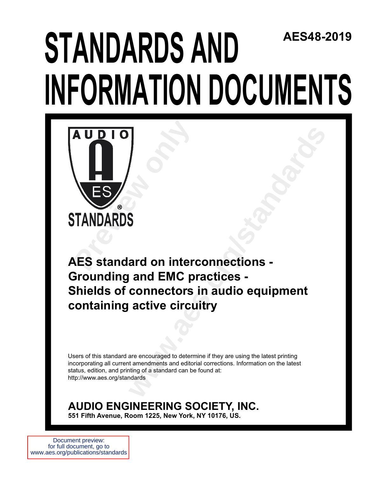## **STANDARDS AND INFORMATION DOCUMENTS AES48-2019**



**and on interconnections -<br>
and EMC practices -<br>
connectors in audio equipment<br>
active circuitry<br>
are encouraged to determine if they are using the latest printing<br>
are encouraged to determine if they are using the latest AES standard on interconnections - Grounding and EMC practices - Shields of connectors in audio equipment containing active circuitry**

Users of this standard are encouraged to determine if they are using the latest printing incorporating all current amendments and editorial corrections. Information on the latest status, edition, and printing of a standard can be found at: http://www.aes.org/standards

**AUDIO ENGINEERING SOCIETY, INC. 551 Fifth Avenue, Room 1225, New York, NY 10176, US.**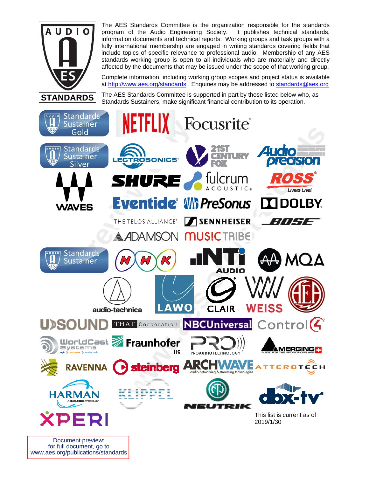

The AES Standards Committee is the organization responsible for the standards program of the Audio Engineering Society. It publishes technical standards, information documents and technical reports. Working groups and task groups with a fully international membership are engaged in writing standards covering fields that include topics of specific relevance to professional audio. Membership of any AES standards working group is open to all individuals who are materially and directly affected by the documents that may be issued under the scope of that working group.

Complete information, including working group scopes and project status is available at http://www.aes.org/standards. Enquiries may be addressed to standards@aes.org

The AES Standards Committee is supported in part by those listed below who, as Standards Sustainers, make significant financial contribution to its operation.



Document preview: for full document, go to www.aes.org/publications/standards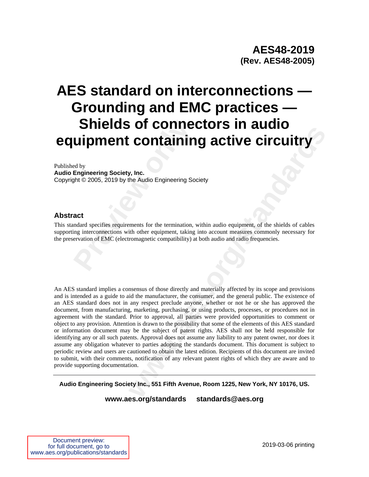# **Shields of connections of the Ulipment containing ed by Engineering Society, Inc.<br>
Engineering Society, Inc.<br>
act act andard specifies requirements for the termination, ving interconnections with other equipment, taking e AES standard on interconnections — Grounding and EMC practices — Shields of connectors in audio equipment containing active circuitry**

Published by

**Audio Engineering Society, Inc.**  Copyright © 2005, 2019 by the Audio Engineering Society

#### **Abstract**

This standard specifies requirements for the termination, within audio equipment, of the shields of cables supporting interconnections with other equipment, taking into account measures commonly necessary for the preservation of EMC (electromagnetic compatibility) at both audio and radio frequencies.

**CONTABILITY AND CONTINUE CONTINUE CONTICUTE CONTINUE CONTICUTE CONTICUTE CONTICUTE CONTICUTE CONTICUTE CONTICUTE CONTICUTE CONTICUTE CONTICUTE CONTICUTE CONTICUTE CONTICUTE CONTICUTE CONTICUTE CONTICUTE CONTICUTE CONTICUT** An AES standard implies a consensus of those directly and materially affected by its scope and provisions and is intended as a guide to aid the manufacturer, the consumer, and the general public. The existence of an AES standard does not in any respect preclude anyone, whether or not he or she has approved the document, from manufacturing, marketing, purchasing, or using products, processes, or procedures not in agreement with the standard. Prior to approval, all parties were provided opportunities to comment or object to any provision. Attention is drawn to the possibility that some of the elements of this AES standard or information document may be the subject of patent rights. AES shall not be held responsible for identifying any or all such patents. Approval does not assume any liability to any patent owner, nor does it assume any obligation whatever to parties adopting the standards document. This document is subject to periodic review and users are cautioned to obtain the latest edition. Recipients of this document are invited to submit, with their comments, notification of any relevant patent rights of which they are aware and to provide supporting documentation.

**Audio Engineering Society Inc., 551 Fifth Avenue, Room 1225, New York, NY 10176, US.**

**www.aes.org/standards standards@aes.org**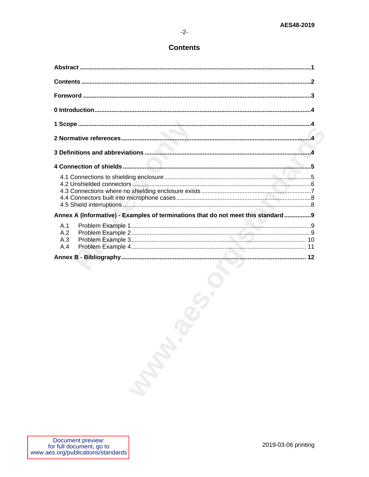#### **Contents**

| Annex A (Informative) - Examples of terminations that do not meet this standard9 |
|----------------------------------------------------------------------------------|
| A.1<br>A.2<br>A.3<br>A.4                                                         |
|                                                                                  |
|                                                                                  |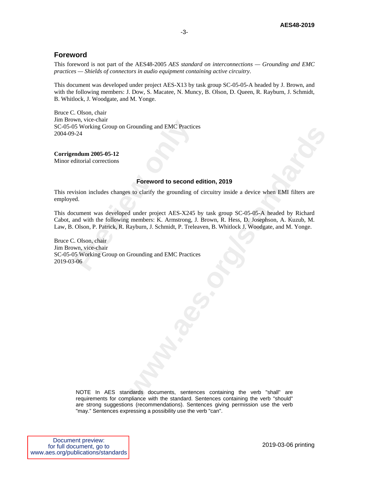#### **Foreword**

This foreword is not part of the AES48-2005 *AES standard on interconnections — Grounding and EMC practices — Shields of connectors in audio equipment containing active circuitry*.

This document was developed under project AES-X13 by task group SC-05-05-A headed by J. Brown, and with the following members: J. Dow, S. Macatee, N. Muncy, B. Olson, D. Queen, R. Rayburn, J. Schmidt, B. Whitlock, J. Woodgate, and M. Yonge.

Bruce C. Olson, chair Jim Brown, vice-chair SC-05-05 Working Group on Grounding and EMC Practices 2004-09-24

**Corrigendum 2005-05-12** 

Minor editorial corrections

#### **Foreword to second edition, 2019**

This revision includes changes to clarify the grounding of circuitry inside a device when EMI filters are employed.

**Foreword to second edition, 2019**<br> **Example 3** to clarify the grounding of circuitry inside a device when EMI filters are<br>
a durater project AES-X245 by task group SC-05-05-A headed by Richard<br>
members: K. Armstrong, J. B This document was developed under project AES-X245 by task group SC-05-05-A headed by Richard Cabot, and with the following members: K. Armstrong, J. Brown, R. Hess, D. Josephson, A. Kuzub, M. Law, B. Olson, P. Patrick, R. Rayburn, J. Schmidt, P. Treleaven, B. Whitlock J. Woodgate, and M. Yonge.

With, vice-chair<br> **Previous Common Control** and EMC Practice<br> **Preword to second (**<br> **Preword to second (**<br> **Preword to second (**<br>
vision includes changes to clarify the grounding o<br>
ed.<br>
cument was developed under project Bruce C. Olson, chair Jim Brown, vice-chair SC-05-05 Working Group on Grounding and EMC Practices 2019-03-06

> NOTE In AES standards documents, sentences containing the verb "shall" are requirements for compliance with the standard. Sentences containing the verb "should" are strong suggestions (recommendations). Sentences giving permission use the verb "may." Sentences expressing a possibility use the verb "can".